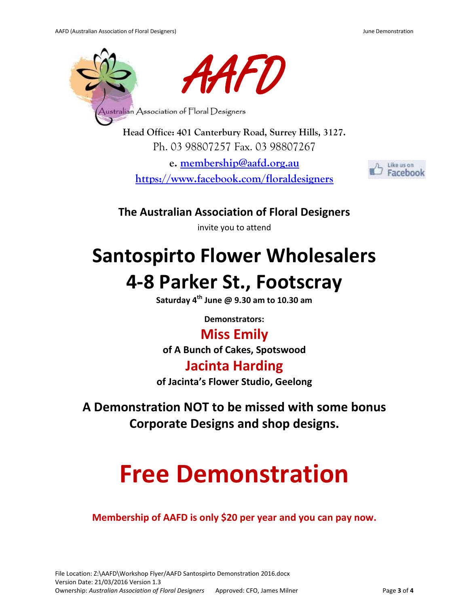

**Head Office: 401 Canterbury Road, Surrey Hills, 3127.** Ph. 03 98807257 Fax. 03 98807267

**e. [membership@aafd.org.au](mailto:membership@aafd.org.au) <https://www.facebook.com/floraldesigners>**



**The Australian Association of Floral Designers** 

invite you to attend

## **Santospirto Flower Wholesalers**

## **4-8 Parker St., Footscray**

**Saturday 4th June @ 9.30 am to 10.30 am**

**Demonstrators:** 

### **Miss Emily**

**of A Bunch of Cakes, Spotswood**

### **Jacinta Harding**

**of Jacinta's Flower Studio, Geelong**

**A Demonstration NOT to be missed with some bonus Corporate Designs and shop designs.** 

# **Free Demonstration**

**Membership of AAFD is only \$20 per year and you can pay now.**